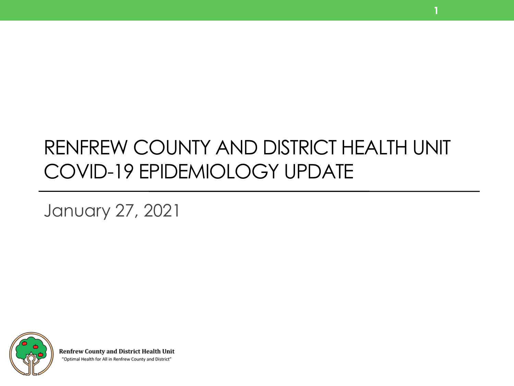### RENFREW COUNTY AND DISTRICT HEALTH UNIT COVID-19 EPIDEMIOLOGY UPDATE

**1**

January 27, 2021



**Renfrew County and District Health Unit** "Optimal Health for All in Renfrew County and District"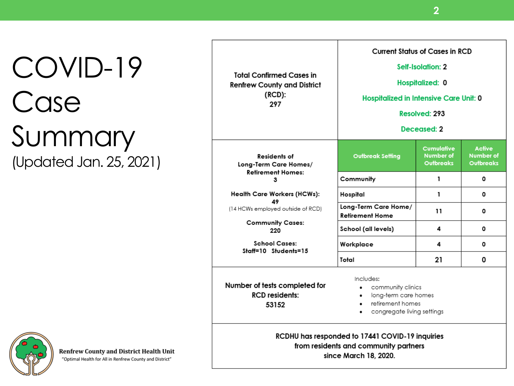## COVID-19 Case Summary (Updated Jan. 25, 2021)

| <b>Total Confirmed Cases in</b><br><b>Renfrew County and District</b><br>(RCD):<br>297                                                                                                                                                                                                                        | <b>Current Status of Cases in RCD</b><br>Self-Isolation: 2<br>Hospitalized: 0<br>Hospitalized in Intensive Care Unit: 0<br>Resolved: 293<br>Deceased: 2 |                                                    |                                                |
|---------------------------------------------------------------------------------------------------------------------------------------------------------------------------------------------------------------------------------------------------------------------------------------------------------------|---------------------------------------------------------------------------------------------------------------------------------------------------------|----------------------------------------------------|------------------------------------------------|
| Residents of<br>Long-Term Care Homes/<br>Retirement Homes:<br>з<br>Health Care Workers (HCWs):<br>49<br>(14 HCWs employed outside of RCD)<br><b>Community Cases:</b><br>220<br><b>School Cases:</b><br>Staff=10 Students=15                                                                                   | <b>Outbreak Setting</b>                                                                                                                                 | Cumulative<br><b>Number of</b><br><b>Outbreaks</b> | Active<br><b>Number of</b><br><b>Outbreaks</b> |
|                                                                                                                                                                                                                                                                                                               | Community                                                                                                                                               | 1                                                  | 0                                              |
|                                                                                                                                                                                                                                                                                                               | Hospital                                                                                                                                                | 1                                                  | 0                                              |
|                                                                                                                                                                                                                                                                                                               | Long-Term Care Home/<br><b>Retirement Home</b>                                                                                                          | 11                                                 | 0                                              |
|                                                                                                                                                                                                                                                                                                               | School (all levels)                                                                                                                                     | 4                                                  | 0                                              |
|                                                                                                                                                                                                                                                                                                               | Workplace                                                                                                                                               | 4                                                  | 0                                              |
|                                                                                                                                                                                                                                                                                                               | Total                                                                                                                                                   | 21                                                 | 0                                              |
| Includes:<br>Number of tests completed for<br>community clinics<br><b>RCD</b> residents:<br>long-term care homes<br>retirement homes<br>$\bullet$<br>53152<br>congregate living settings<br>RCDHU has responded to 17441 COVID-19 inquiries<br>from residents and community partners<br>since March 18, 2020. |                                                                                                                                                         |                                                    |                                                |



**Renfrew County and District Health Unit** "Optimal Health for All in Renfrew County and District"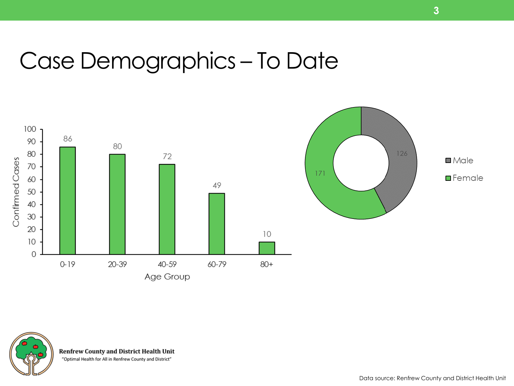### Case Demographics – To Date







**Renfrew County and District Health Unit** 

"Optimal Health for All in Renfrew County and District"

Data source: Renfrew County and District Health Unit

**3**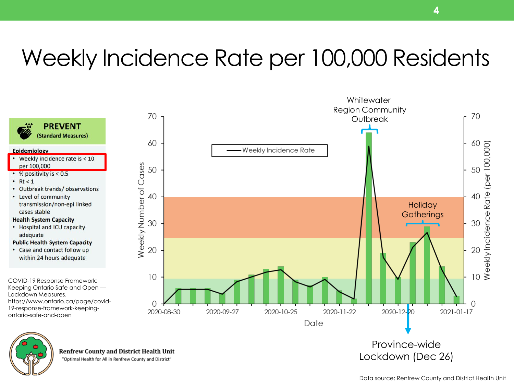### Weekly Incidence Rate per 100,000 Residents



"Optimal Health for All in Renfrew County and District"

Lockdown Measures.

Epidemiology

 $\cdot$  Rt < 1

per 100,000

cases stable **Health System Capacity** 

adequate

• % positivity is  $< 0.5$ 

• Level of community

ontario-safe-and-open

Data source: Renfrew County and District Health Unit

**Whitewater**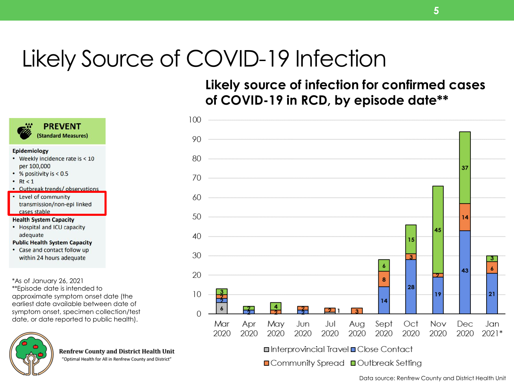### Likely Source of COVID-19 Infection

**Likely source of infection for confirmed cases of COVID-19 in RCD, by episode date\*\***





**■Community Spread ■Outbreak Setting** 



#### Epidemiology

• Weekly incidence rate is < 10 per 100,000

**PREVENT** (Standard Measures)

- % positivity is  $< 0.5$
- $\cdot$  Rt < 1
- Outbreak trends/observations

• Level of community transmission/non-epi linked cases stable

#### **Health System Capacity**

• Hospital and ICU capacity adequate

#### **Public Health System Capacity**

• Case and contact follow up within 24 hours adequate

\*As of January 26, 2021

\*\*Episode date is intended to approximate symptom onset date (the earliest date available between date of symptom onset, specimen collection/test date, or date reported to public health).



**Renfrew County and District Health Unit** 

"Optimal Health for All in Renfrew County and District"



**5**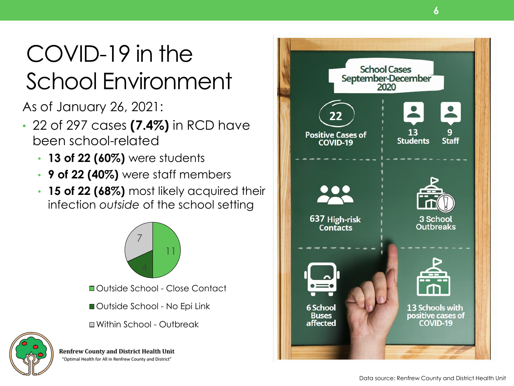## COVID-19 in the School Environment

As of January 26, 2021:

- 22 of 297 cases **(7.4%)** in RCD have been school-related
	- **13 of 22 (60%)** were students
	- **9 of 22 (40%)** were staff members
	- **15 of 22 (68%)** most likely acquired their infection *outside* of the school setting





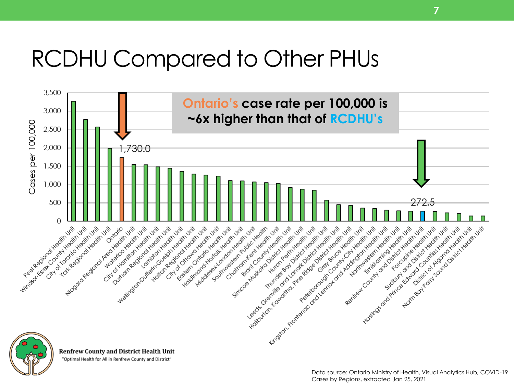### RCDHU Compared to Other PHUs



"Optimal Health for All in Renfrew County and District"

**7**